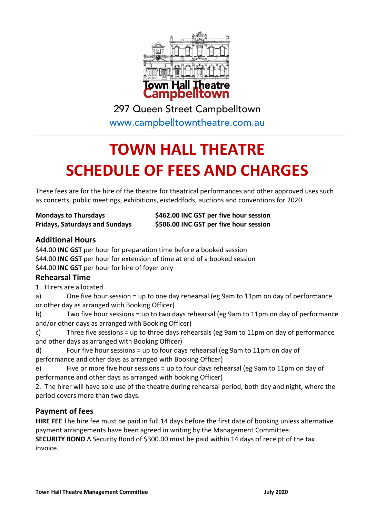

297 Queen Street Campbelltown www.campbelltowntheatre.com.au

# **TOWN HALL THEATRE SCHEDULE OF FEES AND CHARGES**

These fees are for the hire of the theatre for theatrical performances and other approved uses such as concerts, public meetings, exhibitions, eisteddfods, auctions and conventions for 2020

**Mondays to Thursdays \$462.00 INC GST per five hour session Fridays, Saturdays and Sundays \$506.00 INC GST per five hour session**

## **Additional Hours**

\$44.00 **INC GST** per hour for preparation time before a booked session \$44.00 **INC GST** per hour for extension of time at end of a booked session \$44.00 **INC GST** per hour for hire of foyer only

### **Rehearsal Time**

1. Hirers are allocated

a) One five hour session = up to one day rehearsal (eg 9am to 11pm on day of performance or other day as arranged with Booking Officer)

b) Two five hour sessions = up to two days rehearsal (eg 9am to 11pm on day of performance and/or other days as arranged with Booking Officer)

c) Three five sessions = up to three days rehearsals (eg 9am to 11pm on day of performance and other days as arranged with Booking Officer)

d) Four five hour sessions = up to four days rehearsal (eg 9am to 11pm on day of performance and other days as arranged with Booking Officer)

e) Five or more five hour sessions = up to four days rehearsal (eg 9am to 11pm on day of performance and other days as arranged with booking Officer)

2. The hirer will have sole use of the theatre during rehearsal period, both day and night, where the period covers more than two days.

### **Payment of fees**

**HIRE FEE** The hire fee must be paid in full 14 days before the first date of booking unless alternative payment arrangements have been agreed in writing by the Management Committee. **SECURITY BOND** A Security Bond of \$300.00 must be paid within 14 days of receipt of the tax invoice.